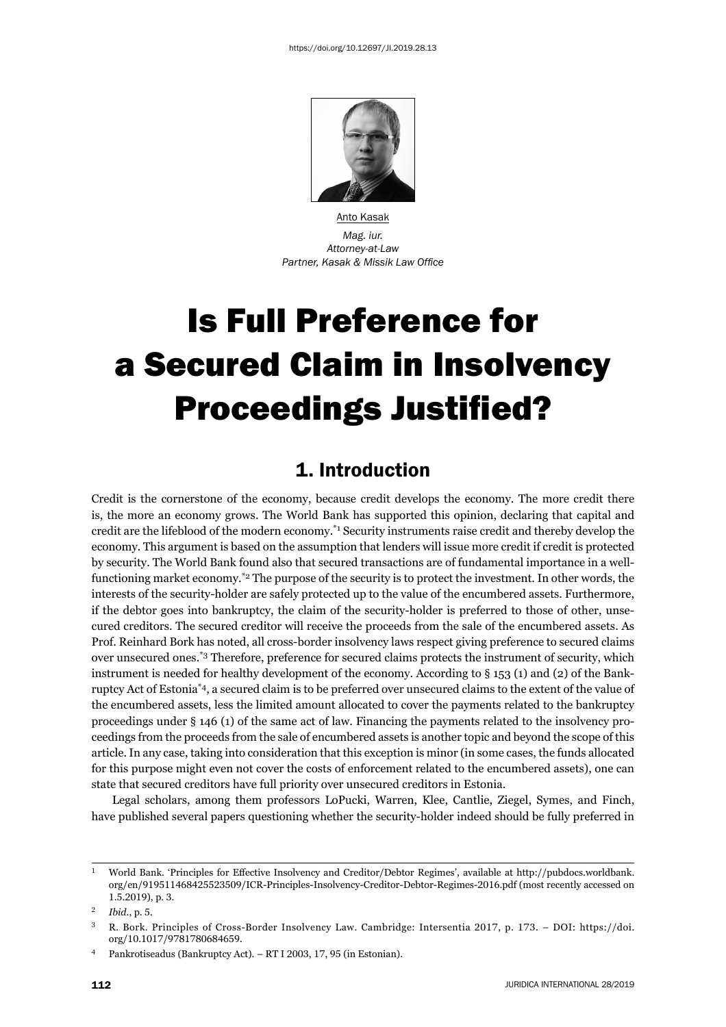

Anto Kasak *Mag. iur. Attorney-at-Law* **Partner, Kasak & Missik Law Office** 

# Is Full Preference for a Secured Claim in Insolvency **Proceedings Justified?**

## 1. Introduction

Credit is the cornerstone of the economy, because credit develops the economy. The more credit there is, the more an economy grows. The World Bank has supported this opinion, declaring that capital and credit are the lifeblood of the modern economy.\*1 Security instruments raise credit and thereby develop the economy. This argument is based on the assumption that lenders will issue more credit if credit is protected by security. The World Bank found also that secured transactions are of fundamental importance in a wellfunctioning market economy.<sup>\*2</sup> The purpose of the security is to protect the investment. In other words, the interests of the security-holder are safely protected up to the value of the encumbered assets. Furthermore, if the debtor goes into bankruptcy, the claim of the security-holder is preferred to those of other, unsecured creditors. The secured creditor will receive the proceeds from the sale of the encumbered assets. As Prof. Reinhard Bork has noted, all cross-border insolvency laws respect giving preference to secured claims over unsecured ones.\*3 Therefore, preference for secured claims protects the instrument of security, which instrument is needed for healthy development of the economy. According to § 153 (1) and (2) of the Bankruptcy Act of Estonia\*4, a secured claim is to be preferred over unsecured claims to the extent of the value of the encumbered assets, less the limited amount allocated to cover the payments related to the bankruptcy proceedings under § 146 (1) of the same act of law. Financing the payments related to the insolvency proceedings from the proceeds from the sale of encumbered assets is another topic and beyond the scope of this article. In any case, taking into consideration that this exception is minor (in some cases, the funds allocated for this purpose might even not cover the costs of enforcement related to the encumbered assets), one can state that secured creditors have full priority over unsecured creditors in Estonia.

Legal scholars, among them professors LoPucki, Warren, Klee, Cantlie, Ziegel, Symes, and Finch, have published several papers questioning whether the security-holder indeed should be fully preferred in

<sup>&</sup>lt;sup>1</sup> World Bank. 'Principles for Effective Insolvency and Creditor/Debtor Regimes', available at http://pubdocs.worldbank. org/en/919511468425523509/ICR-Principles-Insolvency-Creditor-Debtor-Regimes-2016.pdf (most recently accessed on  $1.5.2019$ , p. 3.

<sup>ɳ</sup> *Ibid*., p. ɶ.

<sup>&</sup>lt;sup>3</sup> R. Bork. Principles of Cross-Border Insolvency Law. Cambridge: Intersentia 2017, p. 173. – DOI: https://doi. org/10.1017/9781780684659.

<sup>&</sup>lt;sup>4</sup> Pankrotiseadus (Bankruptcy Act). – RT I 2003, 17, 95 (in Estonian).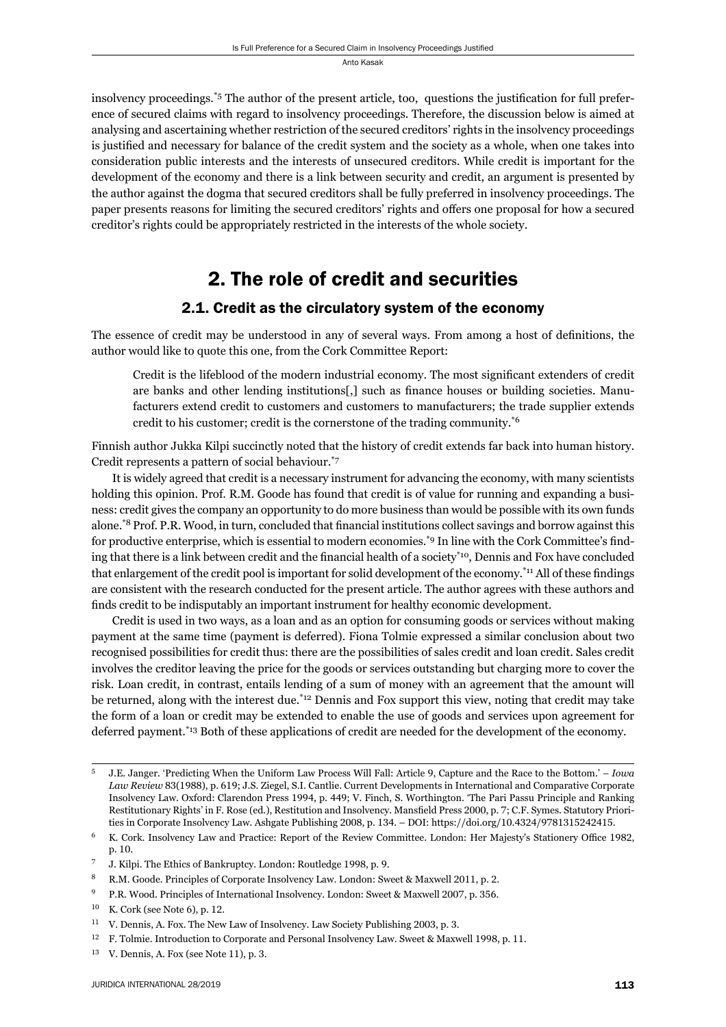insolvency proceedings.<sup>\*5</sup> The author of the present article, too, questions the justification for full preference of secured claims with regard to insolvency proceedings. Therefore, the discussion below is aimed at analysing and ascertaining whether restriction of the secured creditors' rights in the insolvency proceedings is justified and necessary for balance of the credit system and the society as a whole, when one takes into consideration public interests and the interests of unsecured creditors. While credit is important for the development of the economy and there is a link between security and credit, an argument is presented by the author against the dogma that secured creditors shall be fully preferred in insolvency proceedings. The paper presents reasons for limiting the secured creditors' rights and offers one proposal for how a secured creditor's rights could be appropriately restricted in the interests of the whole society.

## 2. The role of credit and securities

#### 2.1. Credit as the circulatory system of the economy

The essence of credit may be understood in any of several ways. From among a host of definitions, the author would like to quote this one, from the Cork Committee Report:

Credit is the lifeblood of the modern industrial economy. The most significant extenders of credit are banks and other lending institutions[,] such as finance houses or building societies. Manufacturers extend credit to customers and customers to manufacturers; the trade supplier extends credit to his customer; credit is the cornerstone of the trading community.\*6

Finnish author Jukka Kilpi succinctly noted that the history of credit extends far back into human history. Credit represents a pattern of social behaviour.\*7

It is widely agreed that credit is a necessary instrument for advancing the economy, with many scientists holding this opinion. Prof. R.M. Goode has found that credit is of value for running and expanding a business: credit gives the company an opportunity to do more business than would be possible with its own funds alone.<sup>\*8</sup> Prof. P.R. Wood, in turn, concluded that financial institutions collect savings and borrow against this for productive enterprise, which is essential to modern economies.<sup>\*9</sup> In line with the Cork Committee's finding that there is a link between credit and the financial health of a society<sup>\*10</sup>, Dennis and Fox have concluded that enlargement of the credit pool is important for solid development of the economy.<sup>\*11</sup> All of these findings are consistent with the research conducted for the present article. The author agrees with these authors and finds credit to be indisputably an important instrument for healthy economic development.

Credit is used in two ways, as a loan and as an option for consuming goods or services without making payment at the same time (payment is deferred). Fiona Tolmie expressed a similar conclusion about two recognised possibilities for credit thus: there are the possibilities of sales credit and loan credit. Sales credit involves the creditor leaving the price for the goods or services outstanding but charging more to cover the risk. Loan credit, in contrast, entails lending of a sum of money with an agreement that the amount will be returned, along with the interest due.<sup>\*12</sup> Dennis and Fox support this view, noting that credit may take the form of a loan or credit may be extended to enable the use of goods and services upon agreement for deferred payment.<sup>\*13</sup> Both of these applications of credit are needed for the development of the economy.

<sup>&</sup>lt;sup>5</sup> J.E. Janger. 'Predicting When the Uniform Law Process Will Fall: Article 9, Capture and the Race to the Bottom.' – *Iowa Law Review* 83(1988), p. 619; J.S. Ziegel, S.I. Cantlie. Current Developments in International and Comparative Corporate Insolvency Law. Oxford: Clarendon Press 1994, p. 449; V. Finch, S. Worthington. 'The Pari Passu Principle and Ranking Restitutionary Rights' in F. Rose (ed.), Restitution and Insolvency. Mansfield Press 2000, p. 7; C.F. Symes. Statutory Priorities in Corporate Insolvency Law. Ashgate Publishing 2008, p. 134. – DOI: https://doi.org/10.4324/9781315242415.

 $6$  K. Cork. Insolvency Law and Practice: Report of the Review Committee. London: Her Majesty's Stationery Office 1982, p. 10.

<sup>&</sup>lt;sup>7</sup> J. Kilpi. The Ethics of Bankruptcy. London: Routledge 1998, p. 9.

<sup>&</sup>lt;sup>8</sup> R.M. Goode. Principles of Corporate Insolvency Law. London: Sweet & Maxwell 2011, p. 2.

<sup>&</sup>lt;sup>9</sup> P.R. Wood. Principles of International Insolvency. London: Sweet & Maxwell 2007, p. 356.

 $10$  K. Cork (see Note 6), p. 12.

<sup>&</sup>lt;sup>11</sup> V. Dennis, A. Fox. The New Law of Insolvency. Law Society Publishing 2003, p. 3.

 $^{12}$  F. Tolmie. Introduction to Corporate and Personal Insolvency Law. Sweet & Maxwell 1998, p. 11.

 $13$  V. Dennis, A. Fox (see Note 11), p. 3.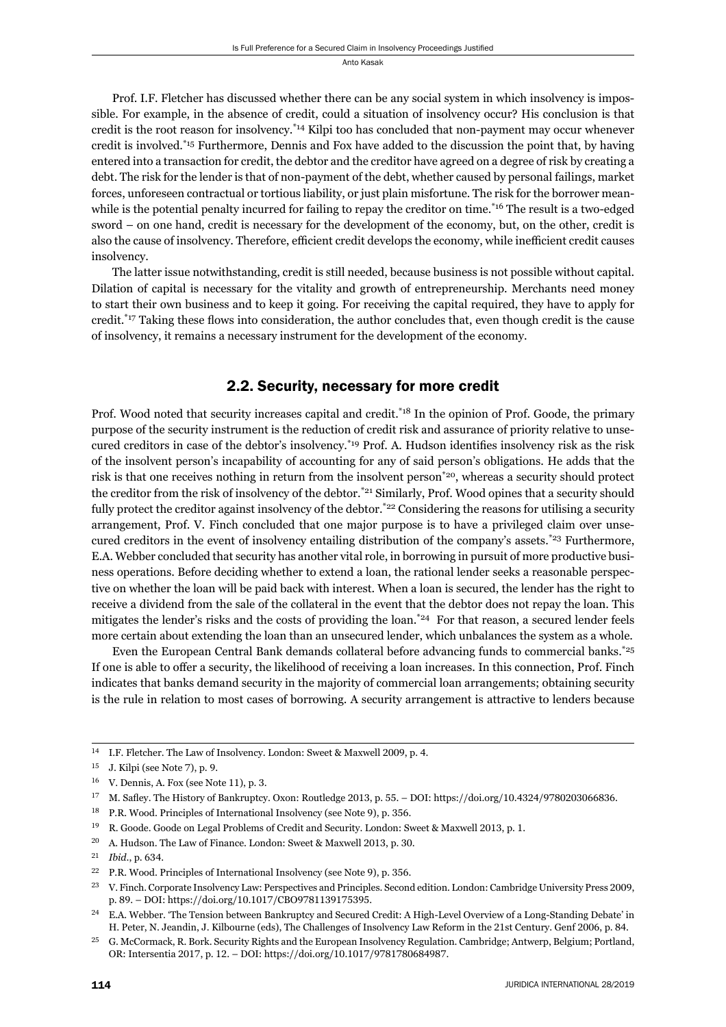Prof. I.F. Fletcher has discussed whether there can be any social system in which insolvency is impossible. For example, in the absence of credit, could a situation of insolvency occur? His conclusion is that credit is the root reason for insolvency.\*14 Kilpi too has concluded that non-payment may occur whenever credit is involved.\*15 Furthermore, Dennis and Fox have added to the discussion the point that, by having entered into a transaction for credit, the debtor and the creditor have agreed on a degree of risk by creating a debt. The risk for the lender is that of non-payment of the debt, whether caused by personal failings, market forces, unforeseen contractual or tortious liability, or just plain misfortune. The risk for the borrower meanwhile is the potential penalty incurred for failing to repay the creditor on time.<sup>\*16</sup> The result is a two-edged sword – on one hand, credit is necessary for the development of the economy, but, on the other, credit is also the cause of insolvency. Therefore, efficient credit develops the economy, while inefficient credit causes insolvency.

The latter issue notwithstanding, credit is still needed, because business is not possible without capital. Dilation of capital is necessary for the vitality and growth of entrepreneurship. Merchants need money to start their own business and to keep it going. For receiving the capital required, they have to apply for credit.<sup>\*17</sup> Taking these flows into consideration, the author concludes that, even though credit is the cause of insolvency, it remains a necessary instrument for the development of the economy.

#### 2.2. Security, necessary for more credit

Prof. Wood noted that security increases capital and credit.<sup>\*18</sup> In the opinion of Prof. Goode, the primary purpose of the security instrument is the reduction of credit risk and assurance of priority relative to unsecured creditors in case of the debtor's insolvency.<sup>\*19</sup> Prof. A. Hudson identifies insolvency risk as the risk of the insolvent person's incapability of accounting for any of said person's obligations. He adds that the risk is that one receives nothing in return from the insolvent person<sup>\*20</sup>, whereas a security should protect the creditor from the risk of insolvency of the debtor.\*21 Similarly, Prof. Wood opines that a security should fully protect the creditor against insolvency of the debtor.<sup>\*22</sup> Considering the reasons for utilising a security arrangement, Prof. V. Finch concluded that one major purpose is to have a privileged claim over unsecured creditors in the event of insolvency entailing distribution of the company's assets.\*23 Furthermore, E.A. Webber concluded that security has another vital role, in borrowing in pursuit of more productive business operations. Before deciding whether to extend a loan, the rational lender seeks a reasonable perspective on whether the loan will be paid back with interest. When a loan is secured, the lender has the right to receive a dividend from the sale of the collateral in the event that the debtor does not repay the loan. This mitigates the lender's risks and the costs of providing the loan.<sup>\*24</sup> For that reason, a secured lender feels more certain about extending the loan than an unsecured lender, which unbalances the system as a whole.

Even the European Central Bank demands collateral before advancing funds to commercial banks.\*25 If one is able to offer a security, the likelihood of receiving a loan increases. In this connection, Prof. Finch indicates that banks demand security in the majority of commercial loan arrangements; obtaining security is the rule in relation to most cases of borrowing. A security arrangement is attractive to lenders because

<sup>&</sup>lt;sup>14</sup> I.F. Fletcher. The Law of Insolvency. London: Sweet & Maxwell 2009, p. 4.

 $15$  J. Kilpi (see Note 7), p. 9.

 $16$  V. Dennis, A. Fox (see Note 11), p. 3.

<sup>&</sup>lt;sup>17</sup> M. Safley. The History of Bankruptcy. Oxon: Routledge 2013, p. 55. – DOI: https://doi.org/10.4324/9780203066836.

 $^{18} \quad$  P.R. Wood. Principles of International Insolvency (see Note 9), p. 356.

<sup>&</sup>lt;sup>19</sup> R. Goode. Goode on Legal Problems of Credit and Security. London: Sweet & Maxwell 2013, p. 1.

<sup>&</sup>lt;sup>20</sup> A. Hudson. The Law of Finance. London: Sweet & Maxwell 2013, p. 30.

<sup>&</sup>lt;sup>21</sup> *Ibid.*, p. 634.

<sup>&</sup>lt;sup>22</sup> P.R. Wood. Principles of International Insolvency (see Note 9), p. 356.

<sup>&</sup>lt;sup>23</sup> V. Finch. Corporate Insolvency Law: Perspectives and Principles. Second edition. London: Cambridge University Press 2009, p. 89. – DOI: https://doi.org/10.1017/CBO9781139175395.

<sup>&</sup>lt;sup>24</sup> E.A. Webber. 'The Tension between Bankruptcy and Secured Credit: A High-Level Overview of a Long-Standing Debate' in H. Peter, N. Jeandin, J. Kilbourne (eds), The Challenges of Insolvency Law Reform in the 21st Century. Genf 2006, p. 84.

<sup>&</sup>lt;sup>25</sup> G. McCormack, R. Bork. Security Rights and the European Insolvency Regulation. Cambridge; Antwerp, Belgium; Portland, OR: Intersentia 2017, p. 12. - DOI: https://doi.org/10.1017/9781780684987.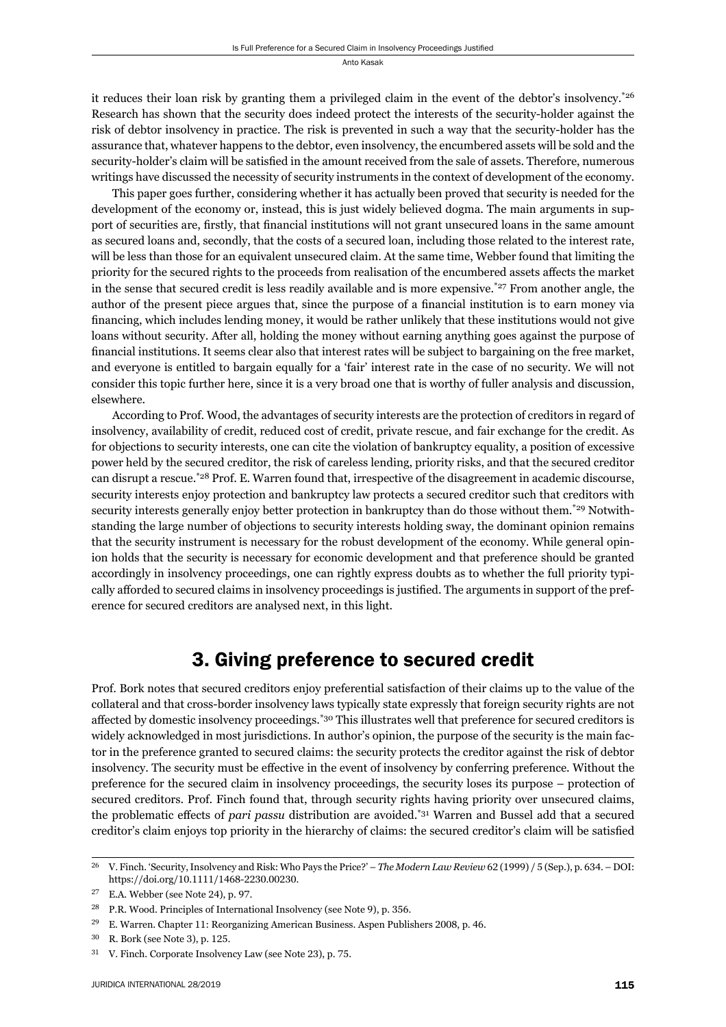it reduces their loan risk by granting them a privileged claim in the event of the debtor's insolvency.\*26 Research has shown that the security does indeed protect the interests of the security-holder against the risk of debtor insolvency in practice. The risk is prevented in such a way that the security-holder has the assurance that, whatever happens to the debtor, even insolvency, the encumbered assets will be sold and the security-holder's claim will be satisfied in the amount received from the sale of assets. Therefore, numerous writings have discussed the necessity of security instruments in the context of development of the economy.

This paper goes further, considering whether it has actually been proved that security is needed for the development of the economy or, instead, this is just widely believed dogma. The main arguments in support of securities are, firstly, that financial institutions will not grant unsecured loans in the same amount as secured loans and, secondly, that the costs of a secured loan, including those related to the interest rate, will be less than those for an equivalent unsecured claim. At the same time, Webber found that limiting the priority for the secured rights to the proceeds from realisation of the encumbered assets affects the market in the sense that secured credit is less readily available and is more expensive.\*27 From another angle, the author of the present piece argues that, since the purpose of a financial institution is to earn money via financing, which includes lending money, it would be rather unlikely that these institutions would not give loans without security. After all, holding the money without earning anything goes against the purpose of financial institutions. It seems clear also that interest rates will be subject to bargaining on the free market, and everyone is entitled to bargain equally for a 'fair' interest rate in the case of no security. We will not consider this topic further here, since it is a very broad one that is worthy of fuller analysis and discussion, elsewhere.

According to Prof. Wood, the advantages of security interests are the protection of creditors in regard of insolvency, availability of credit, reduced cost of credit, private rescue, and fair exchange for the credit. As for objections to security interests, one can cite the violation of bankruptcy equality, a position of excessive power held by the secured creditor, the risk of careless lending, priority risks, and that the secured creditor can disrupt a rescue.\*28 Prof. E. Warren found that, irrespective of the disagreement in academic discourse, security interests enjoy protection and bankruptcy law protects a secured creditor such that creditors with security interests generally enjoy better protection in bankruptcy than do those without them.<sup>\*29</sup> Notwithstanding the large number of objections to security interests holding sway, the dominant opinion remains that the security instrument is necessary for the robust development of the economy. While general opinion holds that the security is necessary for economic development and that preference should be granted accordingly in insolvency proceedings, one can rightly express doubts as to whether the full priority typically afforded to secured claims in insolvency proceedings is justified. The arguments in support of the preference for secured creditors are analysed next, in this light.

## 3. Giving preference to secured credit

Prof. Bork notes that secured creditors enjoy preferential satisfaction of their claims up to the value of the collateral and that cross-border insolvency laws typically state expressly that foreign security rights are not affected by domestic insolvency proceedings.<sup>\*30</sup> This illustrates well that preference for secured creditors is widely acknowledged in most jurisdictions. In author's opinion, the purpose of the security is the main factor in the preference granted to secured claims: the security protects the creditor against the risk of debtor insolvency. The security must be effective in the event of insolvency by conferring preference. Without the preference for the secured claim in insolvency proceedings, the security loses its purpose – protection of secured creditors. Prof. Finch found that, through security rights having priority over unsecured claims, the problematic effects of *pari passu* distribution are avoided.<sup>\*31</sup> Warren and Bussel add that a secured creditor's claim enjoys top priority in the hierarchy of claims: the secured creditor's claim will be satisfied

<sup>&</sup>lt;sup>26</sup> V. Finch. 'Security, Insolvency and Risk: Who Pays the Price?' – *The Modern Law Review* 62 (1999) / 5 (Sep.), p. 634. – DOI: https://doi.org/10.1111/1468-2230.00230.

 $27$  E.A. Webber (see Note 24), p. 97.

<sup>&</sup>lt;sup>28</sup> P.R. Wood. Principles of International Insolvency (see Note 9), p. 356.

<sup>&</sup>lt;sup>29</sup> E. Warren. Chapter 11: Reorganizing American Business. Aspen Publishers 2008, p. 46.

 $30$  R. Bork (see Note 3), p. 125.

<sup>&</sup>lt;sup>31</sup> V. Finch. Corporate Insolvency Law (see Note 23), p. 75.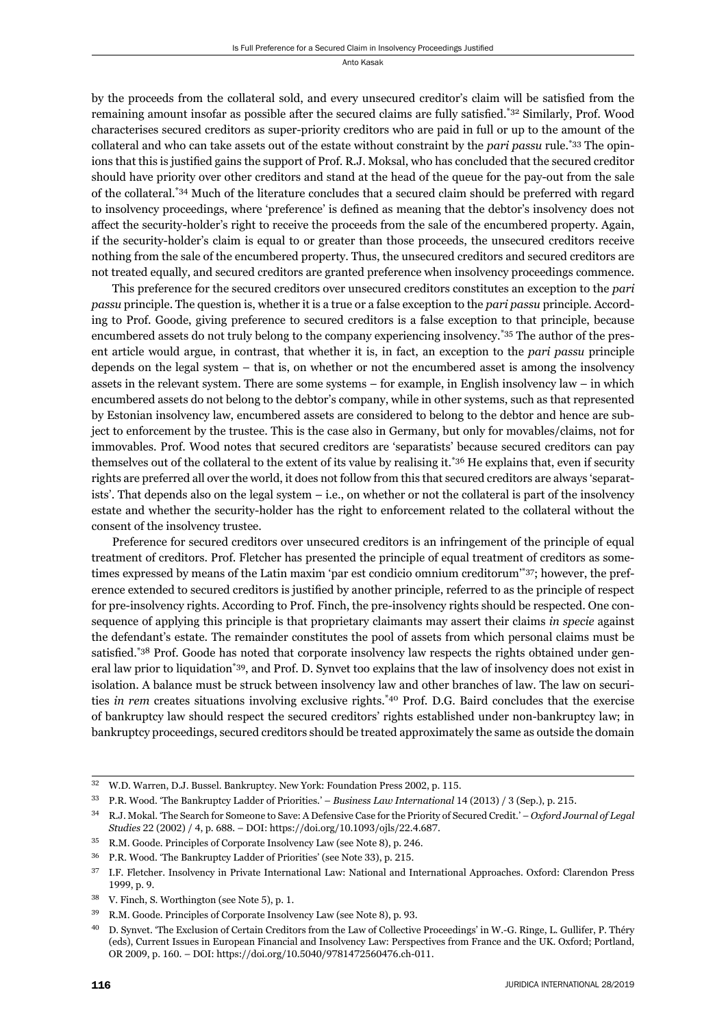by the proceeds from the collateral sold, and every unsecured creditor's claim will be satisfied from the remaining amount insofar as possible after the secured claims are fully satisfied.\*32 Similarly, Prof. Wood characterises secured creditors as super-priority creditors who are paid in full or up to the amount of the collateral and who can take assets out of the estate without constraint by the *pari passu* rule.\*33 The opinions that this is justified gains the support of Prof. R.J. Moksal, who has concluded that the secured creditor should have priority over other creditors and stand at the head of the queue for the pay-out from the sale of the collateral.\*34 Much of the literature concludes that a secured claim should be preferred with regard to insolvency proceedings, where 'preference' is defined as meaning that the debtor's insolvency does not affect the security-holder's right to receive the proceeds from the sale of the encumbered property. Again, if the security-holder's claim is equal to or greater than those proceeds, the unsecured creditors receive nothing from the sale of the encumbered property. Thus, the unsecured creditors and secured creditors are not treated equally, and secured creditors are granted preference when insolvency proceedings commence.

This preference for the secured creditors over unsecured creditors constitutes an exception to the *pari passu* principle. The question is, whether it is a true or a false exception to the *pari passu* principle. According to Prof. Goode, giving preference to secured creditors is a false exception to that principle, because encumbered assets do not truly belong to the company experiencing insolvency.\*35 The author of the present article would argue, in contrast, that whether it is, in fact, an exception to the *pari passu* principle depends on the legal system – that is, on whether or not the encumbered asset is among the insolvency assets in the relevant system. There are some systems – for example, in English insolvency law – in which encumbered assets do not belong to the debtor's company, while in other systems, such as that represented by Estonian insolvency law, encumbered assets are considered to belong to the debtor and hence are subject to enforcement by the trustee. This is the case also in Germany, but only for movables/claims, not for immovables. Prof. Wood notes that secured creditors are 'separatists' because secured creditors can pay themselves out of the collateral to the extent of its value by realising it.<sup>\*36</sup> He explains that, even if security rights are preferred all over the world, it does not follow from this that secured creditors are always 'separatists'. That depends also on the legal system – i.e., on whether or not the collateral is part of the insolvency estate and whether the security-holder has the right to enforcement related to the collateral without the consent of the insolvency trustee.

Preference for secured creditors over unsecured creditors is an infringement of the principle of equal treatment of creditors. Prof. Fletcher has presented the principle of equal treatment of creditors as sometimes expressed by means of the Latin maxim 'par est condicio omnium creditorum'\*37; however, the preference extended to secured creditors is justified by another principle, referred to as the principle of respect for pre-insolvency rights. According to Prof. Finch, the pre-insolvency rights should be respected. One consequence of applying this principle is that proprietary claimants may assert their claims *in specie* against the defendant's estate. The remainder constitutes the pool of assets from which personal claims must be satisfied.<sup>\*38</sup> Prof. Goode has noted that corporate insolvency law respects the rights obtained under general law prior to liquidation\*39, and Prof. D. Synvet too explains that the law of insolvency does not exist in isolation. A balance must be struck between insolvency law and other branches of law. The law on securities *in rem* creates situations involving exclusive rights.\*40 Prof. D.G. Baird concludes that the exercise of bankruptcy law should respect the secured creditors' rights established under non-bankruptcy law; in bankruptcy proceedings, secured creditors should be treated approximately the same as outside the domain

<sup>&</sup>lt;sup>32</sup> W.D. Warren, D.J. Bussel. Bankruptcy. New York: Foundation Press 2002, p. 115.

<sup>&</sup>lt;sup>33</sup> P.R. Wood. 'The Bankruptcy Ladder of Priorities.' – *Business Law International* 14 (2013) / 3 (Sep.), p. 215.

ɴɵ R.J. Mokal. 'The Search for Someone to Save: A Defensive Case for the Priority of Secured Credit.' – *Oxford Journal of Legal Studies* 22 (2002) / 4, p. 688. – DOI: https://doi.org/10.1093/ojls/22.4.687.

<sup>&</sup>lt;sup>35</sup> R.M. Goode. Principles of Corporate Insolvency Law (see Note 8), p. 246.

<sup>&</sup>lt;sup>36</sup> P.R. Wood. 'The Bankruptcy Ladder of Priorities' (see Note 33), p. 215.

<sup>&</sup>lt;sup>37</sup> I.F. Fletcher. Insolvency in Private International Law: National and International Approaches. Oxford: Clarendon Press 1999, p. 9.

 $38$  V. Finch, S. Worthington (see Note 5), p. 1.

<sup>&</sup>lt;sup>39</sup> R.M. Goode. Principles of Corporate Insolvency Law (see Note 8), p. 93.

ɵɱ D. Synvet. 'The Exclusion of Certain Creditors from the Law of Collective Proceedings' in W.-G. Ringe, L. Gullifer, P. Théry (eds), Current Issues in European Financial and Insolvency Law: Perspectives from France and the UK. Oxford; Portland, OR 2009, p. 160. – DOI: https://doi.org/10.5040/9781472560476.ch-011.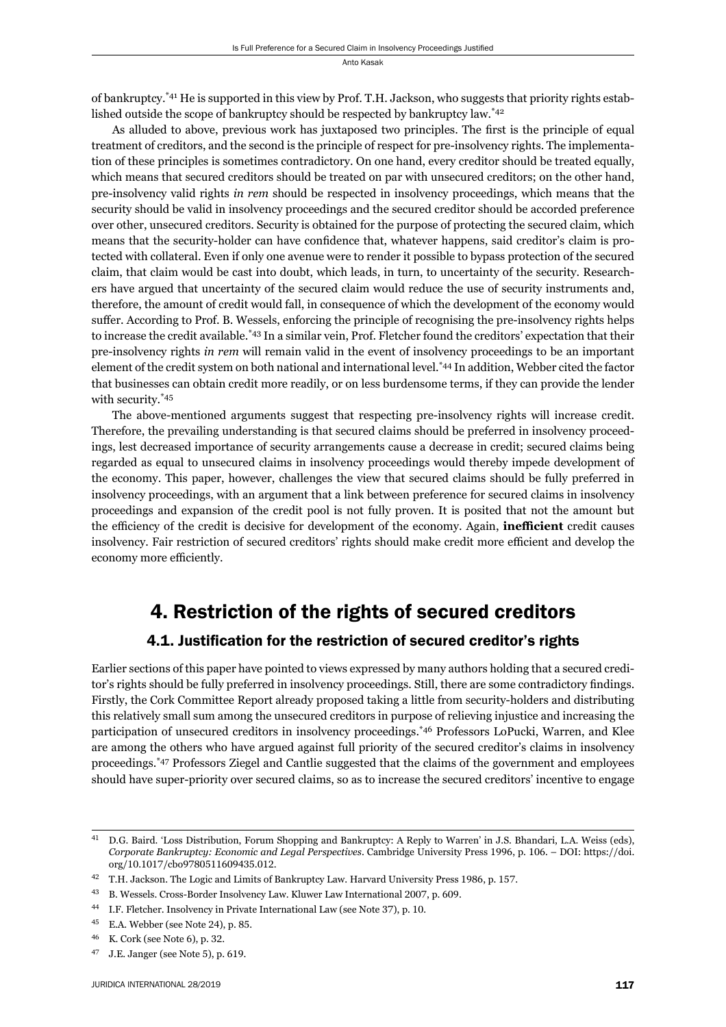of bankruptcy.\*41 He is supported in this view by Prof. T.H. Jackson, who suggests that priority rights established outside the scope of bankruptcy should be respected by bankruptcy law.<sup>\*42</sup>

As alluded to above, previous work has juxtaposed two principles. The first is the principle of equal treatment of creditors, and the second is the principle of respect for pre-insolvency rights. The implementation of these principles is sometimes contradictory. On one hand, every creditor should be treated equally, which means that secured creditors should be treated on par with unsecured creditors; on the other hand, pre-insolvency valid rights *in rem* should be respected in insolvency proceedings, which means that the security should be valid in insolvency proceedings and the secured creditor should be accorded preference over other, unsecured creditors. Security is obtained for the purpose of protecting the secured claim, which means that the security-holder can have confidence that, whatever happens, said creditor's claim is protected with collateral. Even if only one avenue were to render it possible to bypass protection of the secured claim, that claim would be cast into doubt, which leads, in turn, to uncertainty of the security. Researchers have argued that uncertainty of the secured claim would reduce the use of security instruments and, therefore, the amount of credit would fall, in consequence of which the development of the economy would suffer. According to Prof. B. Wessels, enforcing the principle of recognising the pre-insolvency rights helps to increase the credit available.\*43 In a similar vein, Prof. Fletcher found the creditors' expectation that their pre-insolvency rights *in rem* will remain valid in the event of insolvency proceedings to be an important element of the credit system on both national and international level.\*44 In addition, Webber cited the factor that businesses can obtain credit more readily, or on less burdensome terms, if they can provide the lender with security.\*45

The above-mentioned arguments suggest that respecting pre-insolvency rights will increase credit. Therefore, the prevailing understanding is that secured claims should be preferred in insolvency proceedings, lest decreased importance of security arrangements cause a decrease in credit; secured claims being regarded as equal to unsecured claims in insolvency proceedings would thereby impede development of the economy. This paper, however, challenges the view that secured claims should be fully preferred in insolvency proceedings, with an argument that a link between preference for secured claims in insolvency proceedings and expansion of the credit pool is not fully proven. It is posited that not the amount but the efficiency of the credit is decisive for development of the economy. Again, **inefficient** credit causes insolvency. Fair restriction of secured creditors' rights should make credit more efficient and develop the economy more efficiently.

## 4. Restriction of the rights of secured creditors

#### 4.1. Justification for the restriction of secured creditor's rights

Earlier sections of this paper have pointed to views expressed by many authors holding that a secured creditor's rights should be fully preferred in insolvency proceedings. Still, there are some contradictory findings. Firstly, the Cork Committee Report already proposed taking a little from security-holders and distributing this relatively small sum among the unsecured creditors in purpose of relieving injustice and increasing the participation of unsecured creditors in insolvency proceedings.\*46 Professors LoPucki, Warren, and Klee are among the others who have argued against full priority of the secured creditor's claims in insolvency proceedings.\*47 Professors Ziegel and Cantlie suggested that the claims of the government and employees should have super-priority over secured claims, so as to increase the secured creditors' incentive to engage

ɵɲ D.G. Baird. 'Loss Distribution, Forum Shopping and Bankruptcy: A Reply to Warren' in J.S. Bhandari, L.A. Weiss (eds), *Corporate Bankruptcy: Economic and Legal Perspectives. Cambridge University Press 1996, p. 106. – DOI: https://doi.* org/10.1017/cbo9780511609435.012.

<sup>&</sup>lt;sup>42</sup> T.H. Jackson. The Logic and Limits of Bankruptcy Law. Harvard University Press 1986, p. 157.

<sup>&</sup>lt;sup>43</sup> B. Wessels. Cross-Border Insolvency Law. Kluwer Law International 2007, p. 609.

<sup>&</sup>lt;sup>44</sup> I.F. Fletcher. Insolvency in Private International Law (see Note 37), p. 10.

<sup>&</sup>lt;sup>45</sup> E.A. Webber (see Note 24), p. 85.

<sup>&</sup>lt;sup>46</sup> K. Cork (see Note 6), p. 32.

<sup>&</sup>lt;sup>47</sup> J.E. Janger (see Note 5), p. 619.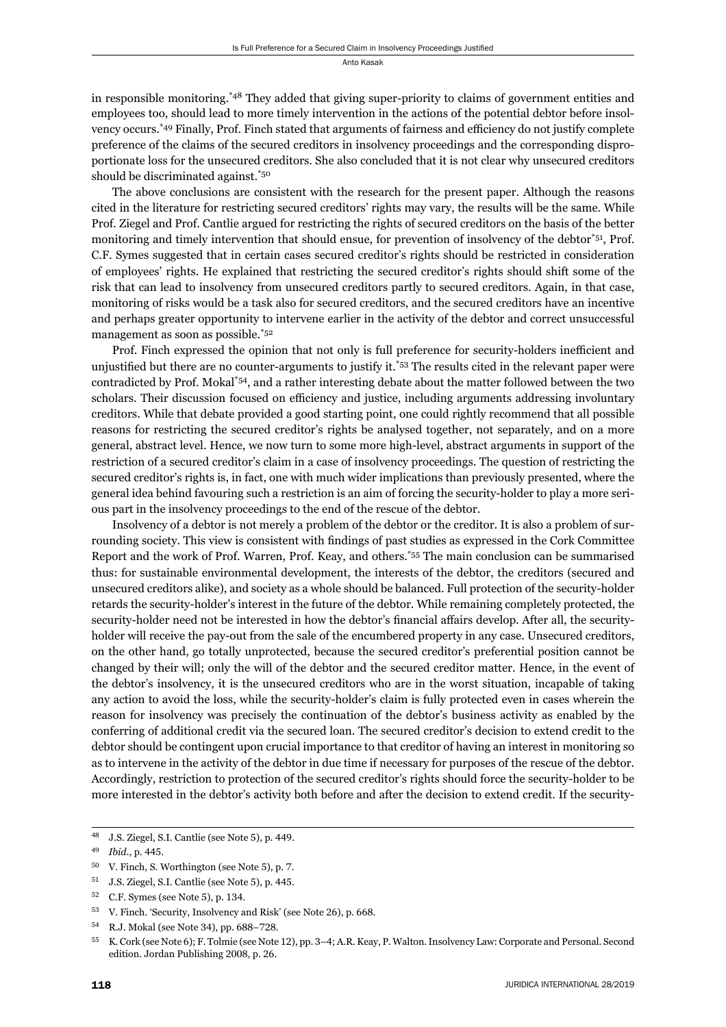in responsible monitoring.\*48 They added that giving super-priority to claims of government entities and employees too, should lead to more timely intervention in the actions of the potential debtor before insolvency occurs.<sup>\*49</sup> Finally, Prof. Finch stated that arguments of fairness and efficiency do not justify complete preference of the claims of the secured creditors in insolvency proceedings and the corresponding disproportionate loss for the unsecured creditors. She also concluded that it is not clear why unsecured creditors should be discriminated against.\*50

The above conclusions are consistent with the research for the present paper. Although the reasons cited in the literature for restricting secured creditors' rights may vary, the results will be the same. While Prof. Ziegel and Prof. Cantlie argued for restricting the rights of secured creditors on the basis of the better monitoring and timely intervention that should ensue, for prevention of insolvency of the debtor<sup> $51$ </sup>, Prof. C.F. Symes suggested that in certain cases secured creditor's rights should be restricted in consideration of employees' rights. He explained that restricting the secured creditor's rights should shift some of the risk that can lead to insolvency from unsecured creditors partly to secured creditors. Again, in that case, monitoring of risks would be a task also for secured creditors, and the secured creditors have an incentive and perhaps greater opportunity to intervene earlier in the activity of the debtor and correct unsuccessful management as soon as possible.\*52

Prof. Finch expressed the opinion that not only is full preference for security-holders inefficient and unjustified but there are no counter-arguments to justify it.<sup>\*53</sup> The results cited in the relevant paper were contradicted by Prof. Mokal\*54, and a rather interesting debate about the matter followed between the two scholars. Their discussion focused on efficiency and justice, including arguments addressing involuntary creditors. While that debate provided a good starting point, one could rightly recommend that all possible reasons for restricting the secured creditor's rights be analysed together, not separately, and on a more general, abstract level. Hence, we now turn to some more high-level, abstract arguments in support of the restriction of a secured creditor's claim in a case of insolvency proceedings. The question of restricting the secured creditor's rights is, in fact, one with much wider implications than previously presented, where the general idea behind favouring such a restriction is an aim of forcing the security-holder to play a more serious part in the insolvency proceedings to the end of the rescue of the debtor.

Insolvency of a debtor is not merely a problem of the debtor or the creditor. It is also a problem of surrounding society. This view is consistent with findings of past studies as expressed in the Cork Committee Report and the work of Prof. Warren, Prof. Keay, and others.\*55 The main conclusion can be summarised thus: for sustainable environmental development, the interests of the debtor, the creditors (secured and unsecured creditors alike), and society as a whole should be balanced. Full protection of the security-holder retards the security-holder's interest in the future of the debtor. While remaining completely protected, the security-holder need not be interested in how the debtor's financial affairs develop. After all, the securityholder will receive the pay-out from the sale of the encumbered property in any case. Unsecured creditors, on the other hand, go totally unprotected, because the secured creditor's preferential position cannot be changed by their will; only the will of the debtor and the secured creditor matter. Hence, in the event of the debtor's insolvency, it is the unsecured creditors who are in the worst situation, incapable of taking any action to avoid the loss, while the security-holder's claim is fully protected even in cases wherein the reason for insolvency was precisely the continuation of the debtor's business activity as enabled by the conferring of additional credit via the secured loan. The secured creditor's decision to extend credit to the debtor should be contingent upon crucial importance to that creditor of having an interest in monitoring so as to intervene in the activity of the debtor in due time if necessary for purposes of the rescue of the debtor. Accordingly, restriction to protection of the secured creditor's rights should force the security-holder to be more interested in the debtor's activity both before and after the decision to extend credit. If the security-

<sup>&</sup>lt;sup>48</sup> J.S. Ziegel, S.I. Cantlie (see Note 5), p. 449.

<sup>49</sup> *Ibid.*, p. 445.

<sup>&</sup>lt;sup>50</sup> V. Finch, S. Worthington (see Note 5), p. 7.

<sup>&</sup>lt;sup>51</sup> J.S. Ziegel, S.I. Cantlie (see Note 5), p. 445.

 $52$  C.F. Symes (see Note 5), p. 134.

 $53$  V. Finch. 'Security, Insolvency and Risk' (see Note 26), p. 668.

<sup>54</sup> R.J. Mokal (see Note 34), pp. 688-728.

<sup>&</sup>lt;sup>55</sup> K. Cork (see Note 6); F. Tolmie (see Note 12), pp. 3-4; A.R. Keay, P. Walton. Insolvency Law: Corporate and Personal. Second edition. Jordan Publishing 2008, p. 26.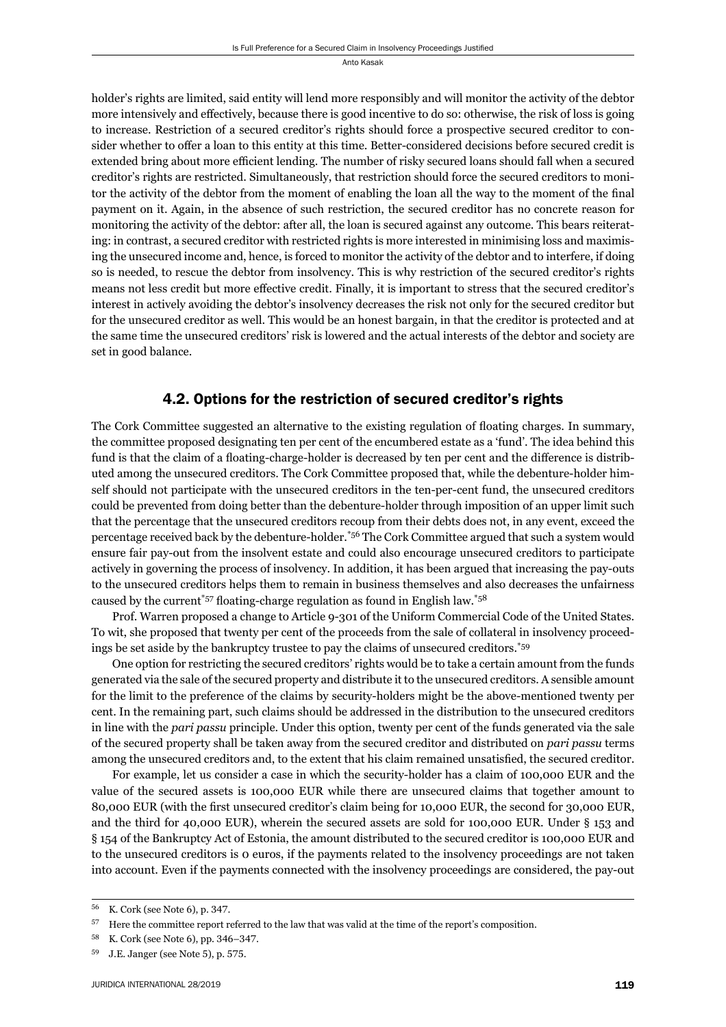holder's rights are limited, said entity will lend more responsibly and will monitor the activity of the debtor more intensively and effectively, because there is good incentive to do so: otherwise, the risk of loss is going to increase. Restriction of a secured creditor's rights should force a prospective secured creditor to consider whether to offer a loan to this entity at this time. Better-considered decisions before secured credit is extended bring about more efficient lending. The number of risky secured loans should fall when a secured creditor's rights are restricted. Simultaneously, that restriction should force the secured creditors to monitor the activity of the debtor from the moment of enabling the loan all the way to the moment of the final payment on it. Again, in the absence of such restriction, the secured creditor has no concrete reason for monitoring the activity of the debtor: after all, the loan is secured against any outcome. This bears reiterating: in contrast, a secured creditor with restricted rights is more interested in minimising loss and maximising the unsecured income and, hence, is forced to monitor the activity of the debtor and to interfere, if doing so is needed, to rescue the debtor from insolvency. This is why restriction of the secured creditor's rights means not less credit but more effective credit. Finally, it is important to stress that the secured creditor's interest in actively avoiding the debtor's insolvency decreases the risk not only for the secured creditor but for the unsecured creditor as well. This would be an honest bargain, in that the creditor is protected and at the same time the unsecured creditors' risk is lowered and the actual interests of the debtor and society are set in good balance.

#### 4.2. Options for the restriction of secured creditor's rights

The Cork Committee suggested an alternative to the existing regulation of floating charges. In summary, the committee proposed designating ten per cent of the encumbered estate as a 'fund'. The idea behind this fund is that the claim of a floating-charge-holder is decreased by ten per cent and the difference is distributed among the unsecured creditors. The Cork Committee proposed that, while the debenture-holder himself should not participate with the unsecured creditors in the ten-per-cent fund, the unsecured creditors could be prevented from doing better than the debenture-holder through imposition of an upper limit such that the percentage that the unsecured creditors recoup from their debts does not, in any event, exceed the percentage received back by the debenture-holder.\*56 The Cork Committee argued that such a system would ensure fair pay-out from the insolvent estate and could also encourage unsecured creditors to participate actively in governing the process of insolvency. In addition, it has been argued that increasing the pay-outs to the unsecured creditors helps them to remain in business themselves and also decreases the unfairness caused by the current\*57 floating-charge regulation as found in English law.\*58

Prof. Warren proposed a change to Article 9-301 of the Uniform Commercial Code of the United States. To wit, she proposed that twenty per cent of the proceeds from the sale of collateral in insolvency proceedings be set aside by the bankruptcy trustee to pay the claims of unsecured creditors.\*59

One option for restricting the secured creditors' rights would be to take a certain amount from the funds generated via the sale of the secured property and distribute it to the unsecured creditors. A sensible amount for the limit to the preference of the claims by security-holders might be the above-mentioned twenty per cent. In the remaining part, such claims should be addressed in the distribution to the unsecured creditors in line with the *pari passu* principle. Under this option, twenty per cent of the funds generated via the sale of the secured property shall be taken away from the secured creditor and distributed on *pari passu* terms among the unsecured creditors and, to the extent that his claim remained unsatisfied, the secured creditor.

For example, let us consider a case in which the security-holder has a claim of 100,000 EUR and the value of the secured assets is 100,000 EUR while there are unsecured claims that together amount to 80,000 EUR (with the first unsecured creditor's claim being for 10,000 EUR, the second for 30,000 EUR, and the third for 40,000 EUR), wherein the secured assets are sold for 100,000 EUR. Under § 153 and § 154 of the Bankruptcy Act of Estonia, the amount distributed to the secured creditor is 100,000 EUR and to the unsecured creditors is 0 euros, if the payments related to the insolvency proceedings are not taken into account. Even if the payments connected with the insolvency proceedings are considered, the pay-out

<sup>&</sup>lt;sup>56</sup> K. Cork (see Note 6), p. 347.

<sup>&</sup>lt;sup>57</sup> Here the committee report referred to the law that was valid at the time of the report's composition.

K. Cork (see Note 6), pp. 346-347.

<sup>&</sup>lt;sup>59</sup> J.E. Janger (see Note 5), p. 575.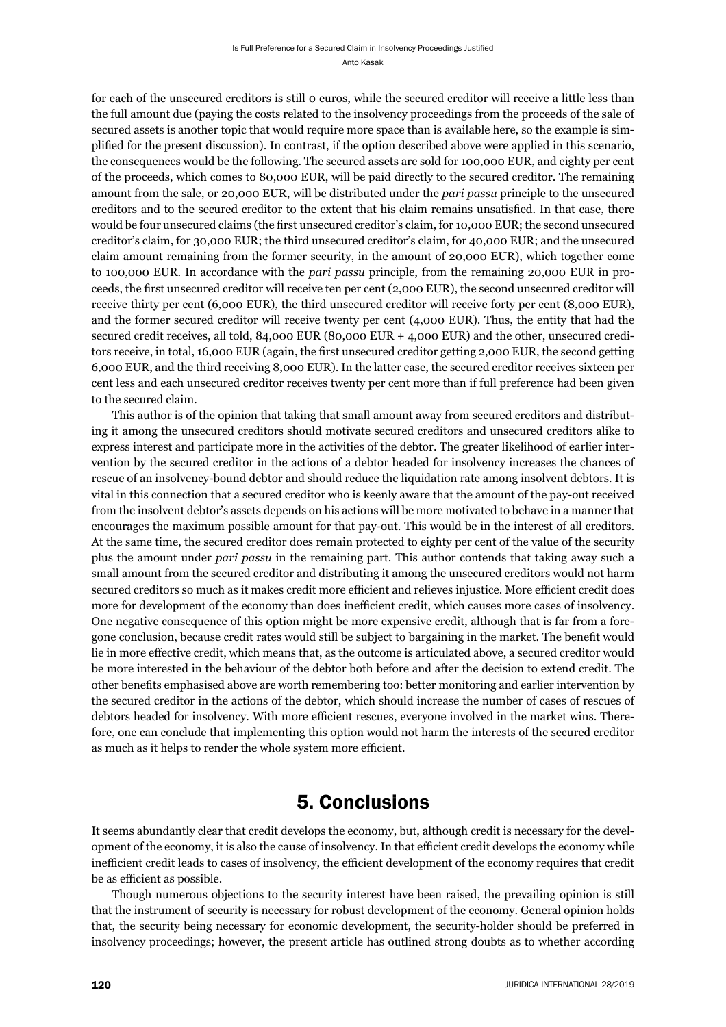for each of the unsecured creditors is still 0 euros, while the secured creditor will receive a little less than the full amount due (paying the costs related to the insolvency proceedings from the proceeds of the sale of secured assets is another topic that would require more space than is available here, so the example is simplified for the present discussion). In contrast, if the option described above were applied in this scenario, the consequences would be the following. The secured assets are sold for 100,000 EUR, and eighty per cent of the proceeds, which comes to 80,000 EUR, will be paid directly to the secured creditor. The remaining amount from the sale, or 20,000 EUR, will be distributed under the *pari passu* principle to the unsecured creditors and to the secured creditor to the extent that his claim remains unsatisfied. In that case, there would be four unsecured claims (the first unsecured creditor's claim, for 10,000 EUR; the second unsecured creditor's claim, for 30,000 EUR; the third unsecured creditor's claim, for 40,000 EUR; and the unsecured claim amount remaining from the former security, in the amount of 20,000 EUR), which together come to 100,000 EUR. In accordance with the *pari passu* principle, from the remaining 20,000 EUR in proceeds, the first unsecured creditor will receive ten per cent (2,000 EUR), the second unsecured creditor will receive thirty per cent (6,000 EUR), the third unsecured creditor will receive forty per cent (8,000 EUR), and the former secured creditor will receive twenty per cent (4,000 EUR). Thus, the entity that had the secured credit receives, all told, 84,000 EUR (80,000 EUR + 4,000 EUR) and the other, unsecured creditors receive, in total, 16,000 EUR (again, the first unsecured creditor getting 2,000 EUR, the second getting 6,000 EUR, and the third receiving 8,000 EUR). In the latter case, the secured creditor receives sixteen per cent less and each unsecured creditor receives twenty per cent more than if full preference had been given to the secured claim.

This author is of the opinion that taking that small amount away from secured creditors and distributing it among the unsecured creditors should motivate secured creditors and unsecured creditors alike to express interest and participate more in the activities of the debtor. The greater likelihood of earlier intervention by the secured creditor in the actions of a debtor headed for insolvency increases the chances of rescue of an insolvency-bound debtor and should reduce the liquidation rate among insolvent debtors. It is vital in this connection that a secured creditor who is keenly aware that the amount of the pay-out received from the insolvent debtor's assets depends on his actions will be more motivated to behave in a manner that encourages the maximum possible amount for that pay-out. This would be in the interest of all creditors. At the same time, the secured creditor does remain protected to eighty per cent of the value of the security plus the amount under *pari passu* in the remaining part. This author contends that taking away such a small amount from the secured creditor and distributing it among the unsecured creditors would not harm secured creditors so much as it makes credit more efficient and relieves injustice. More efficient credit does more for development of the economy than does inefficient credit, which causes more cases of insolvency. One negative consequence of this option might be more expensive credit, although that is far from a foregone conclusion, because credit rates would still be subject to bargaining in the market. The benefi t would lie in more effective credit, which means that, as the outcome is articulated above, a secured creditor would be more interested in the behaviour of the debtor both before and after the decision to extend credit. The other benefits emphasised above are worth remembering too: better monitoring and earlier intervention by the secured creditor in the actions of the debtor, which should increase the number of cases of rescues of debtors headed for insolvency. With more efficient rescues, everyone involved in the market wins. Therefore, one can conclude that implementing this option would not harm the interests of the secured creditor as much as it helps to render the whole system more efficient.

### 5. Conclusions

It seems abundantly clear that credit develops the economy, but, although credit is necessary for the development of the economy, it is also the cause of insolvency. In that efficient credit develops the economy while inefficient credit leads to cases of insolvency, the efficient development of the economy requires that credit be as efficient as possible.

Though numerous objections to the security interest have been raised, the prevailing opinion is still that the instrument of security is necessary for robust development of the economy. General opinion holds that, the security being necessary for economic development, the security-holder should be preferred in insolvency proceedings; however, the present article has outlined strong doubts as to whether according